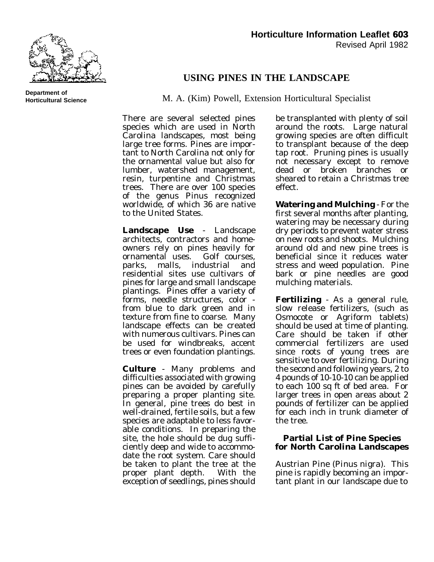

**Department of Horticultural Science**

## **USING PINES IN THE LANDSCAPE**

M. A. (Kim) Powell, Extension Horticultural Specialist

There are several selected pines species which are used in North Carolina landscapes, most being large tree forms. Pines are important to North Carolina not only for the ornamental value but also for lumber, watershed management, resin, turpentine and Christmas trees. There are over 100 species of the genus Pinus recognized worldwide, of which 36 are native to the United States.

**Landscape Use** - Landscape architects, contractors and homeowners rely on pines heavily for ornamental uses. Golf courses, parks, malls, industrial and residential sites use cultivars of pines for large and small landscape plantings. Pines offer a variety of forms, needle structures, color from blue to dark green and in texture from fine to coarse. Many landscape effects can be created with numerous cultivars. Pines can be used for windbreaks, accent trees or even foundation plantings.

**Culture** - Many problems and difficulties associated with growing pines can be avoided by carefully preparing a proper planting site. In general, pine trees do best in well-drained, fertile soils, but a few species are adaptable to less favorable conditions. In preparing the site, the hole should be dug sufficiently deep and wide to accommodate the root system. Care should be taken to plant the tree at the proper plant depth. With the exception of seedlings, pines should

be transplanted with plenty of soil around the roots. Large natural growing species are often difficult to transplant because of the deep tap root. Pruning pines is usually not necessary except to remove dead or broken branches or sheared to retain a Christmas tree effect.

**Watering and Mulching** - For the first several months after planting, watering may be necessary during dry periods to prevent water stress on new roots and shoots. Mulching around old and new pine trees is beneficial since it reduces water stress and weed population. Pine bark or pine needles are good mulching materials.

**Fertilizing** - As a general rule, slow release fertilizers, (such as Osmocote or Agriform tablets) should be used at time of planting. Care should be taken if other commercial fertilizers are used since roots of young trees are sensitive to over fertilizing. During the second and following years, 2 to 4 pounds of 10-10-10 can be applied to each 100 sq ft of bed area. For larger trees in open areas about 2 pounds of fertilizer can be applied for each inch in trunk diameter of the tree.

## **Partial List of Pine Species for North Carolina Landscapes**

Austrian Pine (*Pinus nigra*). This pine is rapidly becoming an important plant in our landscape due to